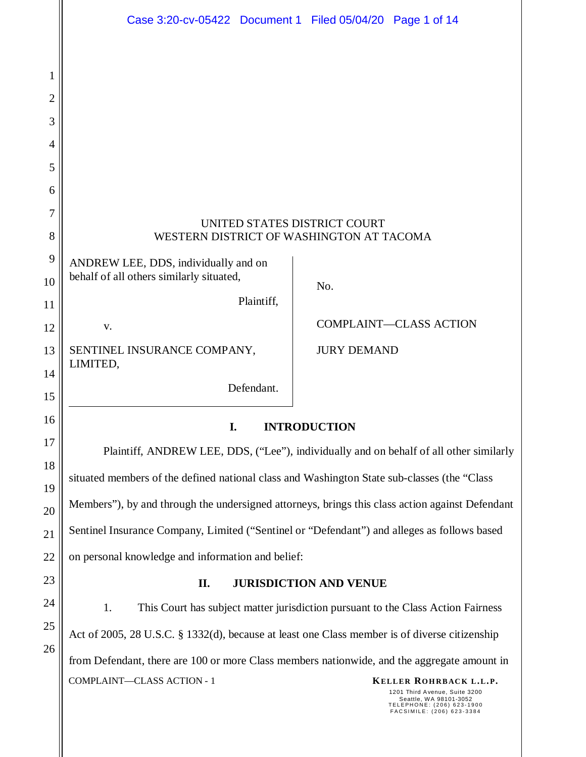|                | Case 3:20-cv-05422 Document 1 Filed 05/04/20 Page 1 of 14                                       |                               |                                                                                                                                             |  |
|----------------|-------------------------------------------------------------------------------------------------|-------------------------------|---------------------------------------------------------------------------------------------------------------------------------------------|--|
|                |                                                                                                 |                               |                                                                                                                                             |  |
| 1              |                                                                                                 |                               |                                                                                                                                             |  |
| $\overline{2}$ |                                                                                                 |                               |                                                                                                                                             |  |
| 3              |                                                                                                 |                               |                                                                                                                                             |  |
| 4              |                                                                                                 |                               |                                                                                                                                             |  |
| 5              |                                                                                                 |                               |                                                                                                                                             |  |
| 6              |                                                                                                 |                               |                                                                                                                                             |  |
| 7              |                                                                                                 |                               |                                                                                                                                             |  |
| 8              | WESTERN DISTRICT OF WASHINGTON AT TACOMA                                                        | UNITED STATES DISTRICT COURT  |                                                                                                                                             |  |
| 9              | ANDREW LEE, DDS, individually and on                                                            |                               |                                                                                                                                             |  |
| 10             | behalf of all others similarly situated,                                                        | No.                           |                                                                                                                                             |  |
| 11             | Plaintiff,                                                                                      |                               |                                                                                                                                             |  |
| 12             | V.                                                                                              |                               | <b>COMPLAINT-CLASS ACTION</b>                                                                                                               |  |
| 13             | SENTINEL INSURANCE COMPANY,<br>LIMITED,                                                         | <b>JURY DEMAND</b>            |                                                                                                                                             |  |
| 14<br>15       | Defendant.                                                                                      |                               |                                                                                                                                             |  |
| 16             |                                                                                                 |                               |                                                                                                                                             |  |
| 17             | I.                                                                                              | <b>INTRODUCTION</b>           |                                                                                                                                             |  |
| 18             | Plaintiff, ANDREW LEE, DDS, ("Lee"), individually and on behalf of all other similarly          |                               |                                                                                                                                             |  |
| 19             | situated members of the defined national class and Washington State sub-classes (the "Class"    |                               |                                                                                                                                             |  |
| 20             | Members"), by and through the undersigned attorneys, brings this class action against Defendant |                               |                                                                                                                                             |  |
| 21             | Sentinel Insurance Company, Limited ("Sentinel or "Defendant") and alleges as follows based     |                               |                                                                                                                                             |  |
| 22             | on personal knowledge and information and belief:                                               |                               |                                                                                                                                             |  |
| 23             | П.                                                                                              | <b>JURISDICTION AND VENUE</b> |                                                                                                                                             |  |
| 24             | 1.<br>This Court has subject matter jurisdiction pursuant to the Class Action Fairness          |                               |                                                                                                                                             |  |
| 25             | Act of 2005, 28 U.S.C. § 1332(d), because at least one Class member is of diverse citizenship   |                               |                                                                                                                                             |  |
| 26             | from Defendant, there are 100 or more Class members nationwide, and the aggregate amount in     |                               |                                                                                                                                             |  |
|                | COMPLAINT-CLASS ACTION - 1                                                                      |                               | KELLER ROHRBACK L.L.P.<br>1201 Third Avenue, Suite 3200<br>Seattle, WA 98101-3052<br>TELEPHONE: (206) 623-1900<br>FACSIMILE: (206) 623-3384 |  |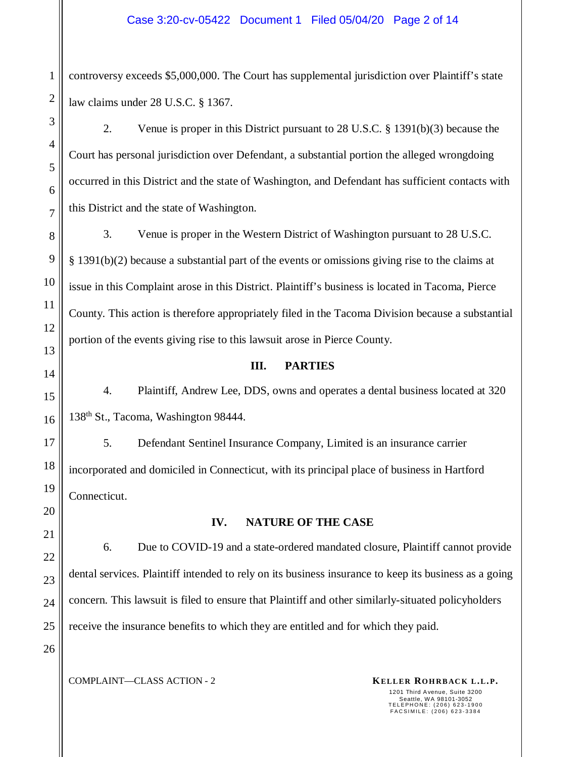controversy exceeds \$5,000,000. The Court has supplemental jurisdiction over Plaintiff's state law claims under 28 U.S.C. § 1367.

2. Venue is proper in this District pursuant to 28 U.S.C. § 1391(b)(3) because the Court has personal jurisdiction over Defendant, a substantial portion the alleged wrongdoing occurred in this District and the state of Washington, and Defendant has sufficient contacts with this District and the state of Washington.

3. Venue is proper in the Western District of Washington pursuant to 28 U.S.C. § 1391(b)(2) because a substantial part of the events or omissions giving rise to the claims at issue in this Complaint arose in this District. Plaintiff's business is located in Tacoma, Pierce County. This action is therefore appropriately filed in the Tacoma Division because a substantial portion of the events giving rise to this lawsuit arose in Pierce County.

## **III. PARTIES**

4. Plaintiff, Andrew Lee, DDS, owns and operates a dental business located at 320 138th St., Tacoma, Washington 98444.

5. Defendant Sentinel Insurance Company, Limited is an insurance carrier incorporated and domiciled in Connecticut, with its principal place of business in Hartford Connecticut.

## **IV. NATURE OF THE CASE**

6. Due to COVID-19 and a state-ordered mandated closure, Plaintiff cannot provide dental services. Plaintiff intended to rely on its business insurance to keep its business as a going concern. This lawsuit is filed to ensure that Plaintiff and other similarly-situated policyholders receive the insurance benefits to which they are entitled and for which they paid.

**COMPLAINT—CLASS ACTION - 2 KELLER ROHRBACK L.L.P.**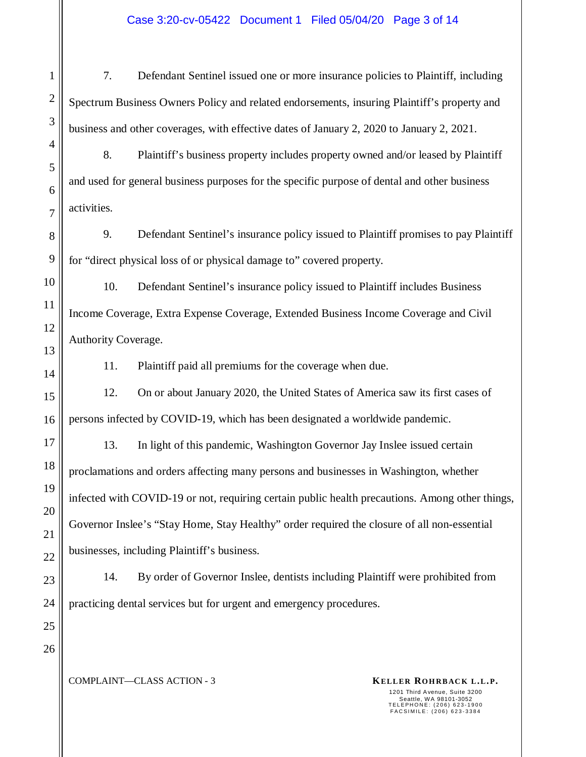## Case 3:20-cv-05422 Document 1 Filed 05/04/20 Page 3 of 14

7. Defendant Sentinel issued one or more insurance policies to Plaintiff, including Spectrum Business Owners Policy and related endorsements, insuring Plaintiff's property and business and other coverages, with effective dates of January 2, 2020 to January 2, 2021.

8. Plaintiff's business property includes property owned and/or leased by Plaintiff and used for general business purposes for the specific purpose of dental and other business activities.

9. Defendant Sentinel's insurance policy issued to Plaintiff promises to pay Plaintiff for "direct physical loss of or physical damage to" covered property.

10. Defendant Sentinel's insurance policy issued to Plaintiff includes Business Income Coverage, Extra Expense Coverage, Extended Business Income Coverage and Civil Authority Coverage.

11. Plaintiff paid all premiums for the coverage when due.

12. On or about January 2020, the United States of America saw its first cases of persons infected by COVID-19, which has been designated a worldwide pandemic.

13. In light of this pandemic, Washington Governor Jay Inslee issued certain proclamations and orders affecting many persons and businesses in Washington, whether infected with COVID-19 or not, requiring certain public health precautions. Among other things, Governor Inslee's "Stay Home, Stay Healthy" order required the closure of all non-essential businesses, including Plaintiff's business.

14. By order of Governor Inslee, dentists including Plaintiff were prohibited from practicing dental services but for urgent and emergency procedures.

1

2

3

4

5

6

7

8

9

10

11

12

13

14

15

16

17

18

19

20

21

22

**KELLER ROHRBACK L.L.P. KELLER ROHRBACK L.L.P.**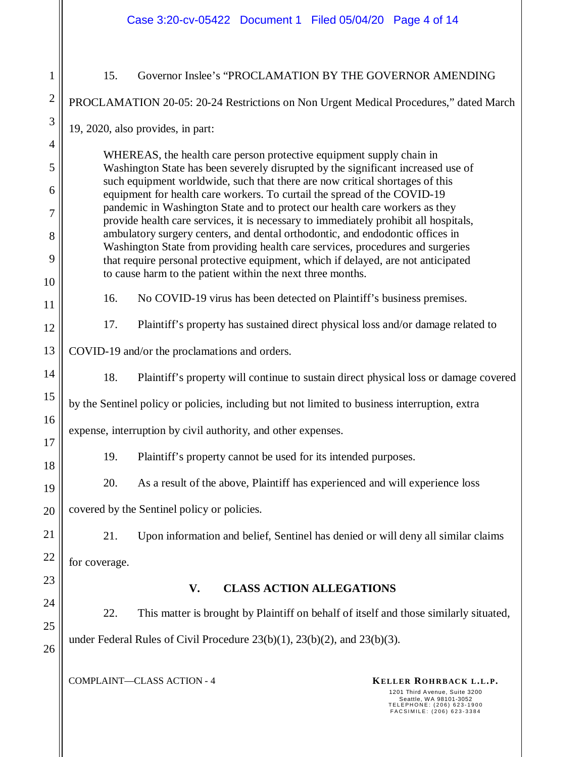|                | Case 3:20-cv-05422 Document 1 Filed 05/04/20 Page 4 of 14                                                                                                                 |
|----------------|---------------------------------------------------------------------------------------------------------------------------------------------------------------------------|
| $\mathbf{1}$   | 15.<br>Governor Inslee's "PROCLAMATION BY THE GOVERNOR AMENDING                                                                                                           |
| $\mathbf{2}$   | PROCLAMATION 20-05: 20-24 Restrictions on Non Urgent Medical Procedures," dated March                                                                                     |
| 3              | 19, 2020, also provides, in part:                                                                                                                                         |
| $\overline{4}$ | WHEREAS, the health care person protective equipment supply chain in                                                                                                      |
| 5              | Washington State has been severely disrupted by the significant increased use of<br>such equipment worldwide, such that there are now critical shortages of this          |
| 6<br>7         | equipment for health care workers. To curtail the spread of the COVID-19<br>pandemic in Washington State and to protect our health care workers as they                   |
| 8              | provide health care services, it is necessary to immediately prohibit all hospitals,<br>ambulatory surgery centers, and dental orthodontic, and endodontic offices in     |
| 9              | Washington State from providing health care services, procedures and surgeries<br>that require personal protective equipment, which if delayed, are not anticipated       |
| 10             | to cause harm to the patient within the next three months.                                                                                                                |
| 11             | 16.<br>No COVID-19 virus has been detected on Plaintiff's business premises.                                                                                              |
| 12             | 17.<br>Plaintiff's property has sustained direct physical loss and/or damage related to                                                                                   |
| 13             | COVID-19 and/or the proclamations and orders.                                                                                                                             |
| 14             | 18.<br>Plaintiff's property will continue to sustain direct physical loss or damage covered                                                                               |
| 15             | by the Sentinel policy or policies, including but not limited to business interruption, extra                                                                             |
| 16<br>17       | expense, interruption by civil authority, and other expenses.                                                                                                             |
| 18             | Plaintiff's property cannot be used for its intended purposes.<br>19.                                                                                                     |
| 19             | As a result of the above, Plaintiff has experienced and will experience loss<br>20.                                                                                       |
| 20             | covered by the Sentinel policy or policies.                                                                                                                               |
| 21             | 21.<br>Upon information and belief, Sentinel has denied or will deny all similar claims                                                                                   |
| 22             | for coverage.                                                                                                                                                             |
| 23             | V.<br><b>CLASS ACTION ALLEGATIONS</b>                                                                                                                                     |
| 24             | 22.<br>This matter is brought by Plaintiff on behalf of itself and those similarly situated,                                                                              |
| 25             | under Federal Rules of Civil Procedure $23(b)(1)$ , $23(b)(2)$ , and $23(b)(3)$ .                                                                                         |
| 26             |                                                                                                                                                                           |
|                | COMPLAINT-CLASS ACTION - 4<br>KELLER ROHRBACK L.L.P.<br>1201 Third Avenue, Suite 3200<br>Seattle, WA 98101-3052<br>TELEPHONE: (206) 623-1900<br>FACSIMILE: (206) 623-3384 |

 $\mathbf{I}$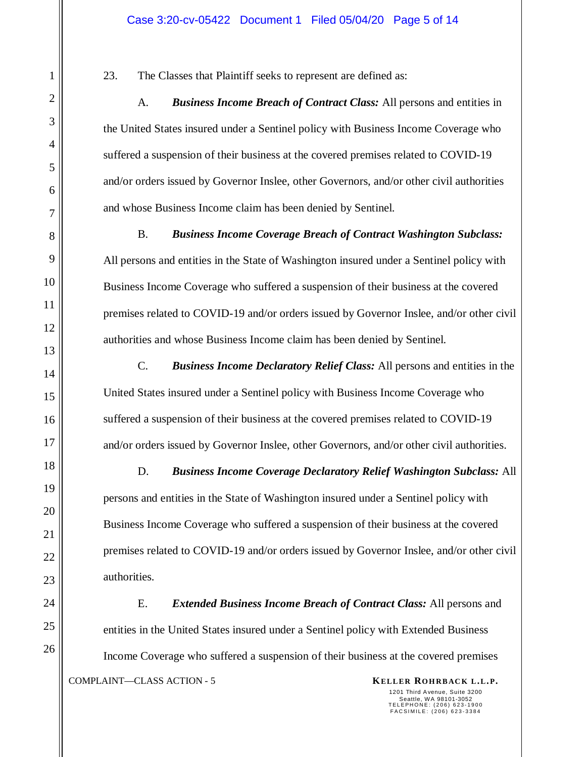23. The Classes that Plaintiff seeks to represent are defined as:

A. *Business Income Breach of Contract Class:* All persons and entities in the United States insured under a Sentinel policy with Business Income Coverage who suffered a suspension of their business at the covered premises related to COVID-19 and/or orders issued by Governor Inslee, other Governors, and/or other civil authorities and whose Business Income claim has been denied by Sentinel.

B. *Business Income Coverage Breach of Contract Washington Subclass:* All persons and entities in the State of Washington insured under a Sentinel policy with Business Income Coverage who suffered a suspension of their business at the covered premises related to COVID-19 and/or orders issued by Governor Inslee, and/or other civil authorities and whose Business Income claim has been denied by Sentinel.

C. *Business Income Declaratory Relief Class:* All persons and entities in the United States insured under a Sentinel policy with Business Income Coverage who suffered a suspension of their business at the covered premises related to COVID-19 and/or orders issued by Governor Inslee, other Governors, and/or other civil authorities.

D. *Business Income Coverage Declaratory Relief Washington Subclass:* All persons and entities in the State of Washington insured under a Sentinel policy with Business Income Coverage who suffered a suspension of their business at the covered premises related to COVID-19 and/or orders issued by Governor Inslee, and/or other civil authorities.

**KELLER ROHRBACK L.L.P. KELLER ROHRBACK L.L.P.** E. *Extended Business Income Breach of Contract Class:* All persons and entities in the United States insured under a Sentinel policy with Extended Business Income Coverage who suffered a suspension of their business at the covered premises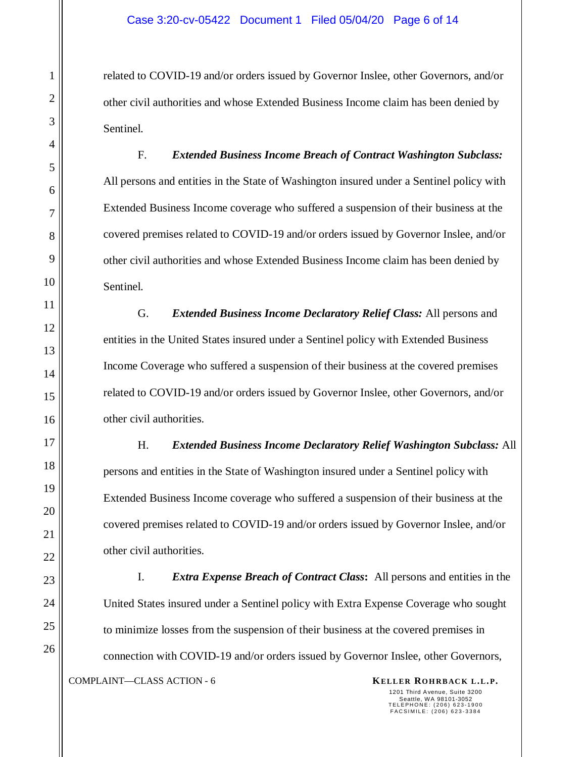related to COVID-19 and/or orders issued by Governor Inslee, other Governors, and/or other civil authorities and whose Extended Business Income claim has been denied by Sentinel.

F. *Extended Business Income Breach of Contract Washington Subclass:* All persons and entities in the State of Washington insured under a Sentinel policy with Extended Business Income coverage who suffered a suspension of their business at the covered premises related to COVID-19 and/or orders issued by Governor Inslee, and/or other civil authorities and whose Extended Business Income claim has been denied by Sentinel.

G. *Extended Business Income Declaratory Relief Class:* All persons and entities in the United States insured under a Sentinel policy with Extended Business Income Coverage who suffered a suspension of their business at the covered premises related to COVID-19 and/or orders issued by Governor Inslee, other Governors, and/or other civil authorities.

H. *Extended Business Income Declaratory Relief Washington Subclass:* All persons and entities in the State of Washington insured under a Sentinel policy with Extended Business Income coverage who suffered a suspension of their business at the covered premises related to COVID-19 and/or orders issued by Governor Inslee, and/or other civil authorities.

**COMPLAINT—CLASS ACTION - 6 KELLER ROHRBACK L.L.P.** I. *Extra Expense Breach of Contract Class***:** All persons and entities in the United States insured under a Sentinel policy with Extra Expense Coverage who sought to minimize losses from the suspension of their business at the covered premises in connection with COVID-19 and/or orders issued by Governor Inslee, other Governors,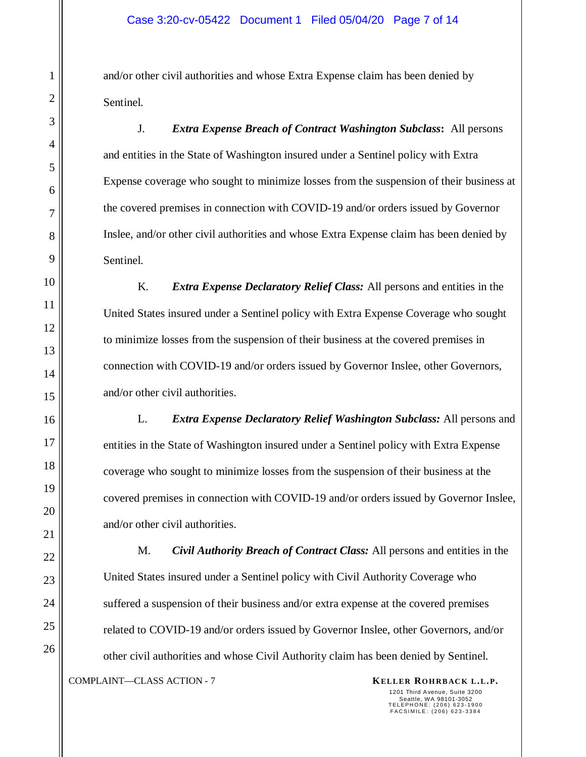and/or other civil authorities and whose Extra Expense claim has been denied by Sentinel.

J. *Extra Expense Breach of Contract Washington Subclass***:** All persons and entities in the State of Washington insured under a Sentinel policy with Extra Expense coverage who sought to minimize losses from the suspension of their business at the covered premises in connection with COVID-19 and/or orders issued by Governor Inslee, and/or other civil authorities and whose Extra Expense claim has been denied by Sentinel.

K. *Extra Expense Declaratory Relief Class:* All persons and entities in the United States insured under a Sentinel policy with Extra Expense Coverage who sought to minimize losses from the suspension of their business at the covered premises in connection with COVID-19 and/or orders issued by Governor Inslee, other Governors, and/or other civil authorities.

L. *Extra Expense Declaratory Relief Washington Subclass:* All persons and entities in the State of Washington insured under a Sentinel policy with Extra Expense coverage who sought to minimize losses from the suspension of their business at the covered premises in connection with COVID-19 and/or orders issued by Governor Inslee, and/or other civil authorities.

**KELLER ROHRBACK L.L.P. KELLER ROHRBACK L.L.P.** M. *Civil Authority Breach of Contract Class:* All persons and entities in the United States insured under a Sentinel policy with Civil Authority Coverage who suffered a suspension of their business and/or extra expense at the covered premises related to COVID-19 and/or orders issued by Governor Inslee, other Governors, and/or other civil authorities and whose Civil Authority claim has been denied by Sentinel.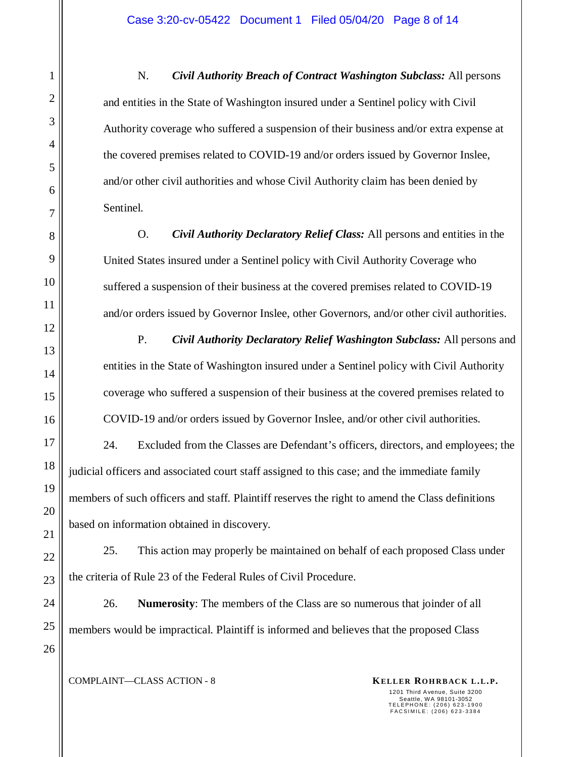N. *Civil Authority Breach of Contract Washington Subclass:* All persons and entities in the State of Washington insured under a Sentinel policy with Civil Authority coverage who suffered a suspension of their business and/or extra expense at the covered premises related to COVID-19 and/or orders issued by Governor Inslee, and/or other civil authorities and whose Civil Authority claim has been denied by Sentinel.

O. *Civil Authority Declaratory Relief Class:* All persons and entities in the United States insured under a Sentinel policy with Civil Authority Coverage who suffered a suspension of their business at the covered premises related to COVID-19 and/or orders issued by Governor Inslee, other Governors, and/or other civil authorities.

P. *Civil Authority Declaratory Relief Washington Subclass:* All persons and entities in the State of Washington insured under a Sentinel policy with Civil Authority coverage who suffered a suspension of their business at the covered premises related to COVID-19 and/or orders issued by Governor Inslee, and/or other civil authorities.

24. Excluded from the Classes are Defendant's officers, directors, and employees; the judicial officers and associated court staff assigned to this case; and the immediate family members of such officers and staff. Plaintiff reserves the right to amend the Class definitions based on information obtained in discovery.

25. This action may properly be maintained on behalf of each proposed Class under the criteria of Rule 23 of the Federal Rules of Civil Procedure.

26. **Numerosity**: The members of the Class are so numerous that joinder of all members would be impractical. Plaintiff is informed and believes that the proposed Class

**COMPLAINT—CLASS ACTION - 8 KELLER ROHRBACK L.L.P.**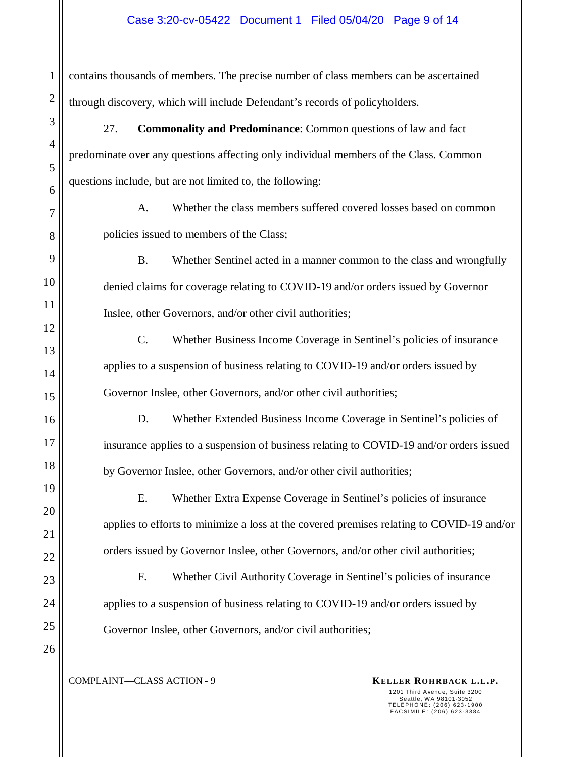contains thousands of members. The precise number of class members can be ascertained through discovery, which will include Defendant's records of policyholders.

27. **Commonality and Predominance**: Common questions of law and fact predominate over any questions affecting only individual members of the Class. Common questions include, but are not limited to, the following:

1

2

3

4

5

6

7

8

9

10

11

12

13

14

15

16

17

18

19

20

21

22

23

24

25

26

A. Whether the class members suffered covered losses based on common policies issued to members of the Class;

B. Whether Sentinel acted in a manner common to the class and wrongfully denied claims for coverage relating to COVID-19 and/or orders issued by Governor Inslee, other Governors, and/or other civil authorities;

C. Whether Business Income Coverage in Sentinel's policies of insurance applies to a suspension of business relating to COVID-19 and/or orders issued by Governor Inslee, other Governors, and/or other civil authorities;

D. Whether Extended Business Income Coverage in Sentinel's policies of insurance applies to a suspension of business relating to COVID-19 and/or orders issued by Governor Inslee, other Governors, and/or other civil authorities;

E. Whether Extra Expense Coverage in Sentinel's policies of insurance applies to efforts to minimize a loss at the covered premises relating to COVID-19 and/or orders issued by Governor Inslee, other Governors, and/or other civil authorities;

F. Whether Civil Authority Coverage in Sentinel's policies of insurance applies to a suspension of business relating to COVID-19 and/or orders issued by Governor Inslee, other Governors, and/or civil authorities;

**COMPLAINT—CLASS ACTION - 9 KELLER ROHRBACK L.L.P.**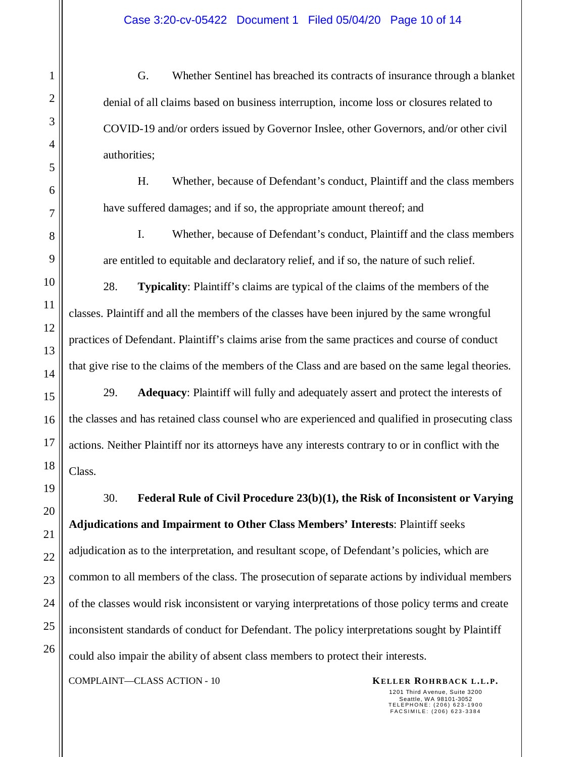G. Whether Sentinel has breached its contracts of insurance through a blanket denial of all claims based on business interruption, income loss or closures related to COVID-19 and/or orders issued by Governor Inslee, other Governors, and/or other civil authorities;

H. Whether, because of Defendant's conduct, Plaintiff and the class members have suffered damages; and if so, the appropriate amount thereof; and

I. Whether, because of Defendant's conduct, Plaintiff and the class members are entitled to equitable and declaratory relief, and if so, the nature of such relief.

28. **Typicality**: Plaintiff's claims are typical of the claims of the members of the classes. Plaintiff and all the members of the classes have been injured by the same wrongful practices of Defendant. Plaintiff's claims arise from the same practices and course of conduct that give rise to the claims of the members of the Class and are based on the same legal theories.

29. **Adequacy**: Plaintiff will fully and adequately assert and protect the interests of the classes and has retained class counsel who are experienced and qualified in prosecuting class actions. Neither Plaintiff nor its attorneys have any interests contrary to or in conflict with the Class.

30. **Federal Rule of Civil Procedure 23(b)(1), the Risk of Inconsistent or Varying Adjudications and Impairment to Other Class Members' Interests**: Plaintiff seeks adjudication as to the interpretation, and resultant scope, of Defendant's policies, which are common to all members of the class. The prosecution of separate actions by individual members of the classes would risk inconsistent or varying interpretations of those policy terms and create inconsistent standards of conduct for Defendant. The policy interpretations sought by Plaintiff could also impair the ability of absent class members to protect their interests.

**COMPLAINT—CLASS ACTION - 10 KELLER ROHRBACK L.L.P.**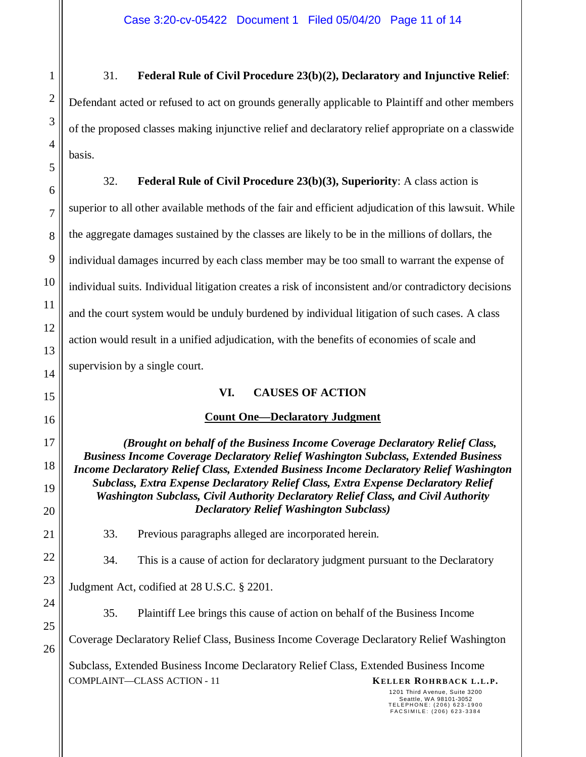31. **Federal Rule of Civil Procedure 23(b)(2), Declaratory and Injunctive Relief**: Defendant acted or refused to act on grounds generally applicable to Plaintiff and other members of the proposed classes making injunctive relief and declaratory relief appropriate on a classwide basis.

32. **Federal Rule of Civil Procedure 23(b)(3), Superiority**: A class action is superior to all other available methods of the fair and efficient adjudication of this lawsuit. While the aggregate damages sustained by the classes are likely to be in the millions of dollars, the individual damages incurred by each class member may be too small to warrant the expense of individual suits. Individual litigation creates a risk of inconsistent and/or contradictory decisions and the court system would be unduly burdened by individual litigation of such cases. A class action would result in a unified adjudication, with the benefits of economies of scale and supervision by a single court.

## **VI. CAUSES OF ACTION**

## **Count One—Declaratory Judgment**

*(Brought on behalf of the Business Income Coverage Declaratory Relief Class, Business Income Coverage Declaratory Relief Washington Subclass, Extended Business Income Declaratory Relief Class, Extended Business Income Declaratory Relief Washington Subclass, Extra Expense Declaratory Relief Class, Extra Expense Declaratory Relief Washington Subclass, Civil Authority Declaratory Relief Class, and Civil Authority Declaratory Relief Washington Subclass)* 

33. Previous paragraphs alleged are incorporated herein.

34. This is a cause of action for declaratory judgment pursuant to the Declaratory

Judgment Act, codified at 28 U.S.C. § 2201.

35. Plaintiff Lee brings this cause of action on behalf of the Business Income

Coverage Declaratory Relief Class, Business Income Coverage Declaratory Relief Washington

**COMPLAINT—CLASS ACTION - 11 KELLER ROHRBACK L.L.P.** Subclass, Extended Business Income Declaratory Relief Class, Extended Business Income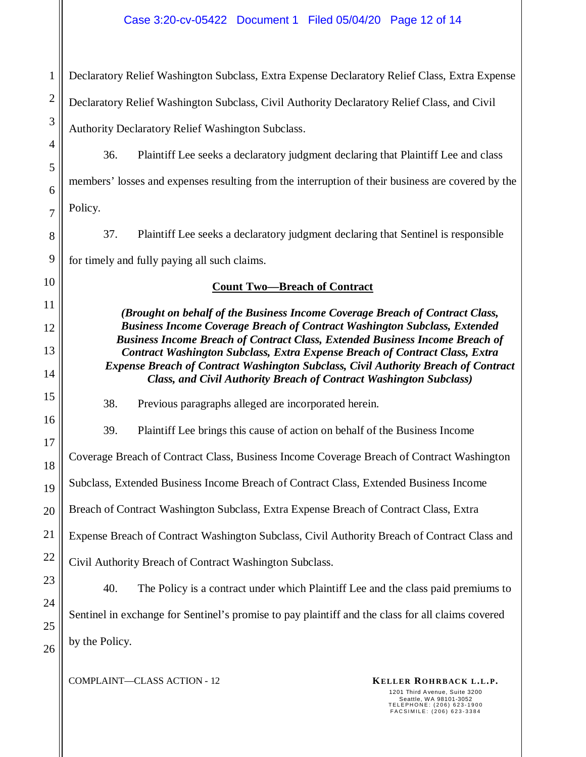## Case 3:20-cv-05422 Document 1 Filed 05/04/20 Page 12 of 14

| $\mathbf{1}$        | Declaratory Relief Washington Subclass, Extra Expense Declaratory Relief Class, Extra Expense                                                                          |  |  |  |  |
|---------------------|------------------------------------------------------------------------------------------------------------------------------------------------------------------------|--|--|--|--|
| $\overline{2}$      | Declaratory Relief Washington Subclass, Civil Authority Declaratory Relief Class, and Civil                                                                            |  |  |  |  |
| 3                   | Authority Declaratory Relief Washington Subclass.                                                                                                                      |  |  |  |  |
| 4                   | 36.<br>Plaintiff Lee seeks a declaratory judgment declaring that Plaintiff Lee and class                                                                               |  |  |  |  |
| 5                   | members' losses and expenses resulting from the interruption of their business are covered by the                                                                      |  |  |  |  |
| 6<br>$\overline{7}$ | Policy.                                                                                                                                                                |  |  |  |  |
| 8                   | 37.<br>Plaintiff Lee seeks a declaratory judgment declaring that Sentinel is responsible                                                                               |  |  |  |  |
| 9                   | for timely and fully paying all such claims.                                                                                                                           |  |  |  |  |
| 10                  |                                                                                                                                                                        |  |  |  |  |
| 11                  | <b>Count Two-Breach of Contract</b>                                                                                                                                    |  |  |  |  |
| 12                  | (Brought on behalf of the Business Income Coverage Breach of Contract Class,<br><b>Business Income Coverage Breach of Contract Washington Subclass, Extended</b>       |  |  |  |  |
| 13                  | <b>Business Income Breach of Contract Class, Extended Business Income Breach of</b><br>Contract Washington Subclass, Extra Expense Breach of Contract Class, Extra     |  |  |  |  |
| 14                  | <b>Expense Breach of Contract Washington Subclass, Civil Authority Breach of Contract</b><br><b>Class, and Civil Authority Breach of Contract Washington Subclass)</b> |  |  |  |  |
| 15                  | 38.<br>Previous paragraphs alleged are incorporated herein.                                                                                                            |  |  |  |  |
| 16                  | 39.<br>Plaintiff Lee brings this cause of action on behalf of the Business Income                                                                                      |  |  |  |  |
| 17                  | Coverage Breach of Contract Class, Business Income Coverage Breach of Contract Washington                                                                              |  |  |  |  |
| 18                  | Subclass, Extended Business Income Breach of Contract Class, Extended Business Income                                                                                  |  |  |  |  |
| 19                  |                                                                                                                                                                        |  |  |  |  |
| 20                  | Breach of Contract Washington Subclass, Extra Expense Breach of Contract Class, Extra                                                                                  |  |  |  |  |
| 21                  | Expense Breach of Contract Washington Subclass, Civil Authority Breach of Contract Class and                                                                           |  |  |  |  |
| 22                  | Civil Authority Breach of Contract Washington Subclass.                                                                                                                |  |  |  |  |
| 23                  | 40.<br>The Policy is a contract under which Plaintiff Lee and the class paid premiums to                                                                               |  |  |  |  |
| 24                  | Sentinel in exchange for Sentinel's promise to pay plaintiff and the class for all claims covered                                                                      |  |  |  |  |
| 25                  |                                                                                                                                                                        |  |  |  |  |
| 26                  | by the Policy.                                                                                                                                                         |  |  |  |  |
|                     |                                                                                                                                                                        |  |  |  |  |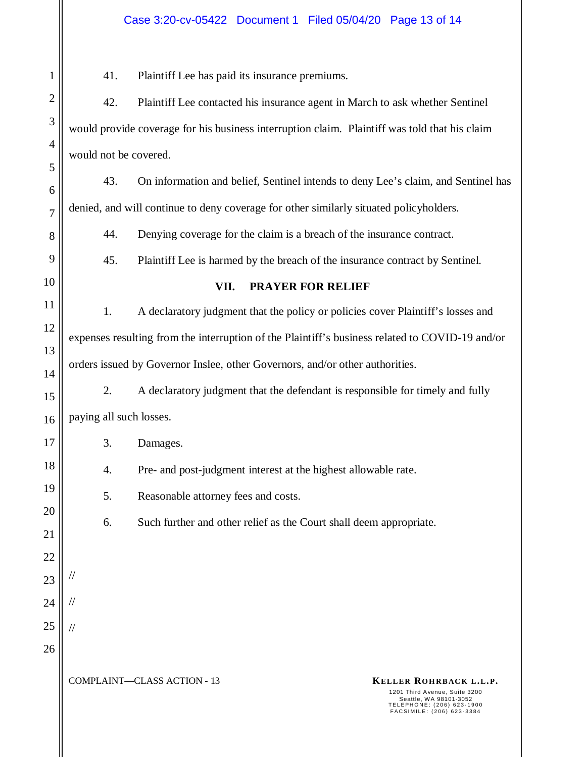| Case 3:20-cv-05422 Document 1 Filed 05/04/20 Page 13 of 14 |  |  |
|------------------------------------------------------------|--|--|
|                                                            |  |  |

41. Plaintiff Lee has paid its insurance premiums.

42. Plaintiff Lee contacted his insurance agent in March to ask whether Sentinel would provide coverage for his business interruption claim. Plaintiff was told that his claim would not be covered.

43. On information and belief, Sentinel intends to deny Lee's claim, and Sentinel has denied, and will continue to deny coverage for other similarly situated policyholders.

44. Denying coverage for the claim is a breach of the insurance contract.

45. Plaintiff Lee is harmed by the breach of the insurance contract by Sentinel.

10 11

12

13

14

15

16

17

18

19

20

21

22

23

//

//

//

24

1

2

3

4

5

6

7

8

9

## **VII. PRAYER FOR RELIEF**

1. A declaratory judgment that the policy or policies cover Plaintiff's losses and expenses resulting from the interruption of the Plaintiff's business related to COVID-19 and/or orders issued by Governor Inslee, other Governors, and/or other authorities.

2. A declaratory judgment that the defendant is responsible for timely and fully paying all such losses.

3. Damages.

4. Pre- and post-judgment interest at the highest allowable rate.

5. Reasonable attorney fees and costs.

6. Such further and other relief as the Court shall deem appropriate.

25 26

**COMPLAINT—CLASS ACTION - 13 KELLER ROHRBACK L.L.P.**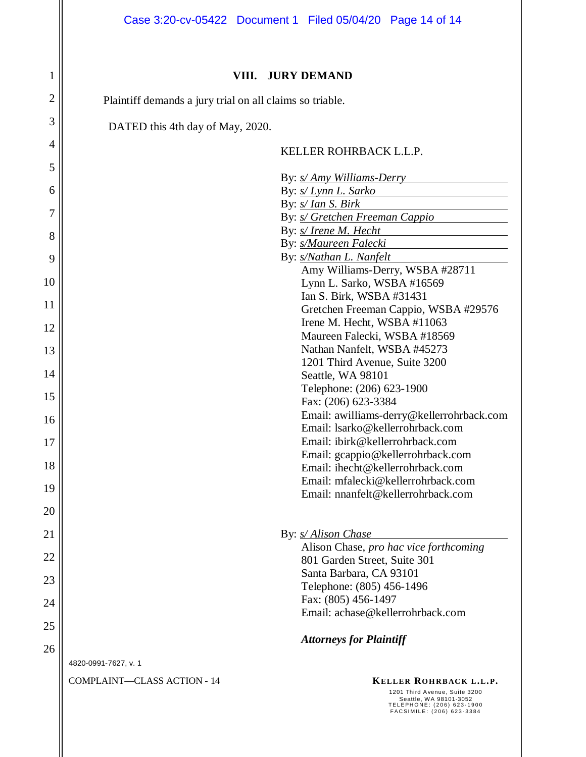|                | Case 3:20-cv-05422 Document 1 Filed 05/04/20 Page 14 of 14                                                                                                                        |
|----------------|-----------------------------------------------------------------------------------------------------------------------------------------------------------------------------------|
| 1              | <b>JURY DEMAND</b><br>VIII.                                                                                                                                                       |
| $\overline{2}$ | Plaintiff demands a jury trial on all claims so triable.                                                                                                                          |
| 3              |                                                                                                                                                                                   |
| 4              | DATED this 4th day of May, 2020.                                                                                                                                                  |
| 5              | KELLER ROHRBACK L.L.P.                                                                                                                                                            |
|                | By: <i>s/Amy Williams-Derry</i>                                                                                                                                                   |
| 6              | By: s/ Lynn L. Sarko<br>By: <i>s/ Ian S. Birk</i>                                                                                                                                 |
| 7              | By: s/ Gretchen Freeman Cappio                                                                                                                                                    |
| 8              | By: s/ Irene M. Hecht                                                                                                                                                             |
|                | By: s/Maureen Falecki                                                                                                                                                             |
| 9              | By: s/Nathan L. Nanfelt<br>Amy Williams-Derry, WSBA #28711                                                                                                                        |
| 10             | Lynn L. Sarko, WSBA #16569                                                                                                                                                        |
| 11             | Ian S. Birk, WSBA #31431                                                                                                                                                          |
|                | Gretchen Freeman Cappio, WSBA #29576<br>Irene M. Hecht, WSBA #11063                                                                                                               |
| 12             | Maureen Falecki, WSBA #18569                                                                                                                                                      |
| 13             | Nathan Nanfelt, WSBA #45273                                                                                                                                                       |
|                | 1201 Third Avenue, Suite 3200                                                                                                                                                     |
| 14             | Seattle, WA 98101                                                                                                                                                                 |
| 15             | Telephone: (206) 623-1900<br>Fax: (206) 623-3384                                                                                                                                  |
| 16             | Email: awilliams-derry@kellerrohrback.com<br>Email: Isarko@kellerrohrback.com                                                                                                     |
| 17             | Email: ibirk@kellerrohrback.com                                                                                                                                                   |
| 18             | Email: gcappio@kellerrohrback.com<br>Email: ihecht@kellerrohrback.com                                                                                                             |
|                | Email: mfalecki@kellerrohrback.com                                                                                                                                                |
| 19             | Email: nnanfelt@kellerrohrback.com                                                                                                                                                |
| 20             |                                                                                                                                                                                   |
| 21             | By: <i>s/ Alison Chase</i>                                                                                                                                                        |
| 22             | Alison Chase, pro hac vice forthcoming<br>801 Garden Street, Suite 301                                                                                                            |
| 23             | Santa Barbara, CA 93101                                                                                                                                                           |
|                | Telephone: (805) 456-1496                                                                                                                                                         |
| 24             | Fax: (805) 456-1497<br>Email: achase@kellerrohrback.com                                                                                                                           |
| 25             | <b>Attorneys for Plaintiff</b>                                                                                                                                                    |
| 26             |                                                                                                                                                                                   |
|                | 4820-0991-7627, v. 1                                                                                                                                                              |
|                | <b>COMPLAINT-CLASS ACTION - 14</b><br>KELLER ROHRBACK L.L.P.<br>1201 Third Avenue, Suite 3200<br>Seattle, WA 98101-3052<br>TELEPHONE: (206) 623-1900<br>FACSIMILE: (206) 623-3384 |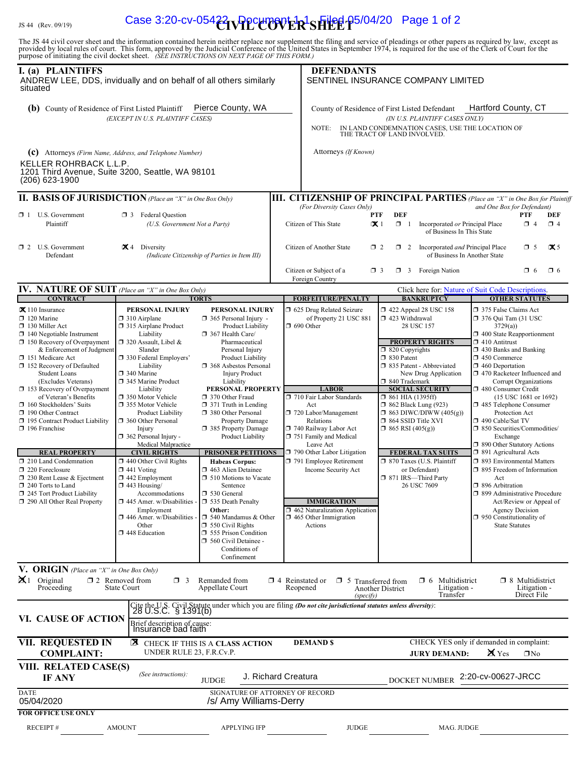# $\mathcal{H}_{\rm{HS44-}(Rev. 09/19)}$  Case 3:20-cv-05422  $\mathbf{VPC}$   $\mathbf{VPC}$   $\mathbf{F1S}$   $\mathbf{F1C}$   $\mathbf{P2D}$   $\mathbf{P3D}$   $\mathbf{P4D}$

The JS 44 civil cover sheet and the information contained herein neither replace nor supplement the filing and service of pleadings or other papers as required by law, except as provided by local rules of court. This form,

| I. (a) PLAINTIFFS<br>ANDREW LEE, DDS, invidually and on behalf of all others similarly<br>situated                                                                                                                                                                                                                                                                                                                                                                                                                                                                                                                                                                                                       |                                                                                                                                                                                                                                                                                                                                                                                                                                                                                                                                                                                                                                        |                                                                                                                                                                                                                                                                                                                                                                                                                                                                                                                                                                                                                                                                                                                 |                                                                                                                                                                                                                                                                                                                                                                                                                                                   | <b>DEFENDANTS</b><br>SENTINEL INSURANCE COMPANY LIMITED                                                                                                                                                                                                                                                                                                                                                                                                                                                                            |                                                                                                                                                                                                                                                                                                                                                                                                                                                                                                                                                                                                                                                                                                                                                          |  |
|----------------------------------------------------------------------------------------------------------------------------------------------------------------------------------------------------------------------------------------------------------------------------------------------------------------------------------------------------------------------------------------------------------------------------------------------------------------------------------------------------------------------------------------------------------------------------------------------------------------------------------------------------------------------------------------------------------|----------------------------------------------------------------------------------------------------------------------------------------------------------------------------------------------------------------------------------------------------------------------------------------------------------------------------------------------------------------------------------------------------------------------------------------------------------------------------------------------------------------------------------------------------------------------------------------------------------------------------------------|-----------------------------------------------------------------------------------------------------------------------------------------------------------------------------------------------------------------------------------------------------------------------------------------------------------------------------------------------------------------------------------------------------------------------------------------------------------------------------------------------------------------------------------------------------------------------------------------------------------------------------------------------------------------------------------------------------------------|---------------------------------------------------------------------------------------------------------------------------------------------------------------------------------------------------------------------------------------------------------------------------------------------------------------------------------------------------------------------------------------------------------------------------------------------------|------------------------------------------------------------------------------------------------------------------------------------------------------------------------------------------------------------------------------------------------------------------------------------------------------------------------------------------------------------------------------------------------------------------------------------------------------------------------------------------------------------------------------------|----------------------------------------------------------------------------------------------------------------------------------------------------------------------------------------------------------------------------------------------------------------------------------------------------------------------------------------------------------------------------------------------------------------------------------------------------------------------------------------------------------------------------------------------------------------------------------------------------------------------------------------------------------------------------------------------------------------------------------------------------------|--|
| Pierce County, WA<br><b>(b)</b> County of Residence of First Listed Plaintiff<br>(EXCEPT IN U.S. PLAINTIFF CASES)                                                                                                                                                                                                                                                                                                                                                                                                                                                                                                                                                                                        |                                                                                                                                                                                                                                                                                                                                                                                                                                                                                                                                                                                                                                        |                                                                                                                                                                                                                                                                                                                                                                                                                                                                                                                                                                                                                                                                                                                 | NOTE:                                                                                                                                                                                                                                                                                                                                                                                                                                             | Hartford County, CT<br>County of Residence of First Listed Defendant<br>(IN U.S. PLAINTIFF CASES ONLY)<br>IN LAND CONDEMNATION CASES, USE THE LOCATION OF THE TRACT OF LAND INVOLVED.                                                                                                                                                                                                                                                                                                                                              |                                                                                                                                                                                                                                                                                                                                                                                                                                                                                                                                                                                                                                                                                                                                                          |  |
| (C) Attorneys (Firm Name, Address, and Telephone Number)<br>KELLER ROHRBACK L.L.P.<br>1201 Third Avenue, Suite 3200, Seattle, WA 98101<br>$(206)$ 623-1900                                                                                                                                                                                                                                                                                                                                                                                                                                                                                                                                               |                                                                                                                                                                                                                                                                                                                                                                                                                                                                                                                                                                                                                                        |                                                                                                                                                                                                                                                                                                                                                                                                                                                                                                                                                                                                                                                                                                                 | Attorneys (If Known)                                                                                                                                                                                                                                                                                                                                                                                                                              |                                                                                                                                                                                                                                                                                                                                                                                                                                                                                                                                    |                                                                                                                                                                                                                                                                                                                                                                                                                                                                                                                                                                                                                                                                                                                                                          |  |
| <b>II. BASIS OF JURISDICTION</b> (Place an "X" in One Box Only)                                                                                                                                                                                                                                                                                                                                                                                                                                                                                                                                                                                                                                          |                                                                                                                                                                                                                                                                                                                                                                                                                                                                                                                                                                                                                                        |                                                                                                                                                                                                                                                                                                                                                                                                                                                                                                                                                                                                                                                                                                                 |                                                                                                                                                                                                                                                                                                                                                                                                                                                   |                                                                                                                                                                                                                                                                                                                                                                                                                                                                                                                                    | <b>III. CITIZENSHIP OF PRINCIPAL PARTIES</b> (Place an "X" in One Box for Plaintiff                                                                                                                                                                                                                                                                                                                                                                                                                                                                                                                                                                                                                                                                      |  |
| $\Box$ 1 U.S. Government<br>Plaintiff                                                                                                                                                                                                                                                                                                                                                                                                                                                                                                                                                                                                                                                                    | <b>13</b> Federal Question<br>(U.S. Government Not a Party)                                                                                                                                                                                                                                                                                                                                                                                                                                                                                                                                                                            |                                                                                                                                                                                                                                                                                                                                                                                                                                                                                                                                                                                                                                                                                                                 | (For Diversity Cases Only)<br>Citizen of This State                                                                                                                                                                                                                                                                                                                                                                                               | <b>DEF</b><br>PTF<br>$\mathbf{X}$ 1<br>$\Box$ 1<br>Incorporated or Principal Place<br>of Business In This State                                                                                                                                                                                                                                                                                                                                                                                                                    | and One Box for Defendant)<br>DEF<br>PTF<br>$\Box$ 4<br>$\Box$ 4                                                                                                                                                                                                                                                                                                                                                                                                                                                                                                                                                                                                                                                                                         |  |
| $\Box$ 2 U.S. Government<br>Defendant                                                                                                                                                                                                                                                                                                                                                                                                                                                                                                                                                                                                                                                                    | $\mathbf{X}$ 4 Diversity                                                                                                                                                                                                                                                                                                                                                                                                                                                                                                                                                                                                               | (Indicate Citizenship of Parties in Item III)                                                                                                                                                                                                                                                                                                                                                                                                                                                                                                                                                                                                                                                                   | Citizen of Another State                                                                                                                                                                                                                                                                                                                                                                                                                          | $\Box$ 2 Incorporated <i>and</i> Principal Place<br>$\Box$ 2<br>of Business In Another State                                                                                                                                                                                                                                                                                                                                                                                                                                       | $\mathbf{X}$ 5<br>$\Box$ 5                                                                                                                                                                                                                                                                                                                                                                                                                                                                                                                                                                                                                                                                                                                               |  |
|                                                                                                                                                                                                                                                                                                                                                                                                                                                                                                                                                                                                                                                                                                          |                                                                                                                                                                                                                                                                                                                                                                                                                                                                                                                                                                                                                                        |                                                                                                                                                                                                                                                                                                                                                                                                                                                                                                                                                                                                                                                                                                                 | Citizen or Subject of a<br>Foreign Country                                                                                                                                                                                                                                                                                                                                                                                                        | $\Box$ 3 Foreign Nation<br>$\Box$ 3                                                                                                                                                                                                                                                                                                                                                                                                                                                                                                | O 6<br>$\Box$ 6                                                                                                                                                                                                                                                                                                                                                                                                                                                                                                                                                                                                                                                                                                                                          |  |
| <b>IV. NATURE OF SUIT</b> (Place an "X" in One Box Only)                                                                                                                                                                                                                                                                                                                                                                                                                                                                                                                                                                                                                                                 |                                                                                                                                                                                                                                                                                                                                                                                                                                                                                                                                                                                                                                        |                                                                                                                                                                                                                                                                                                                                                                                                                                                                                                                                                                                                                                                                                                                 |                                                                                                                                                                                                                                                                                                                                                                                                                                                   |                                                                                                                                                                                                                                                                                                                                                                                                                                                                                                                                    | Click here for: Nature of Suit Code Descriptions.                                                                                                                                                                                                                                                                                                                                                                                                                                                                                                                                                                                                                                                                                                        |  |
| <b>CONTRACT</b><br>$\mathbf{\times}$ 110 Insurance<br>$\Box$ 120 Marine<br>$\Box$ 130 Miller Act<br>$\Box$ 140 Negotiable Instrument<br>$\Box$ 150 Recovery of Overpayment<br>& Enforcement of Judgment<br>151 Medicare Act<br>$\Box$ 152 Recovery of Defaulted<br><b>Student Loans</b><br>(Excludes Veterans)<br>$\Box$ 153 Recovery of Overpayment<br>of Veteran's Benefits<br>$\Box$ 160 Stockholders' Suits<br>190 Other Contract<br>195 Contract Product Liability<br>$\Box$ 196 Franchise<br><b>REAL PROPERTY</b><br>$\Box$ 210 Land Condemnation<br>$\Box$ 220 Foreclosure<br>$\Box$ 230 Rent Lease & Ejectment<br>240 Torts to Land<br>245 Tort Product Liability<br>290 All Other Real Property | PERSONAL INJURY<br>$\Box$ 310 Airplane<br>315 Airplane Product<br>Liability<br>$\Box$ 320 Assault, Libel &<br>Slander<br>□ 330 Federal Employers'<br>Liability<br>340 Marine<br>345 Marine Product<br>Liability<br>□ 350 Motor Vehicle<br>□ 355 Motor Vehicle<br>Product Liability<br>360 Other Personal<br>Injury<br>$\Box$ 362 Personal Injury -<br>Medical Malpractice<br><b>CIVIL RIGHTS</b><br>$\Box$ 440 Other Civil Rights<br>$\Box$ 441 Voting<br>$\Box$ 442 Employment<br>$\Box$ 443 Housing/<br>Accommodations<br>$\Box$ 445 Amer. w/Disabilities<br>Employment<br>$\Box$ 446 Amer. w/Disabilities<br>Other<br>448 Education | <b>TORTS</b><br>PERSONAL INJURY<br>$\Box$ 365 Personal Injury -<br>Product Liability<br>367 Health Care/<br>Pharmaceutical<br>Personal Injury<br>Product Liability<br>□ 368 Asbestos Personal<br><b>Injury Product</b><br>Liability<br>PERSONAL PROPERTY<br>□ 370 Other Fraud<br>$\Box$ 371 Truth in Lending<br>380 Other Personal<br><b>Property Damage</b><br>1 385 Property Damage<br>Product Liability<br><b>PRISONER PETITIONS</b><br><b>Habeas Corpus:</b><br>□ 463 Alien Detainee<br>$\Box$ 510 Motions to Vacate<br>Sentence<br>□ 530 General<br>535 Death Penalty<br>Other:<br>$\Box$ 540 Mandamus & Other<br>$\Box$ 550 Civil Rights<br>555 Prison Condition<br>560 Civil Detainee -<br>Conditions of | <b>FORFEITURE/PENALTY</b><br>□ 625 Drug Related Seizure<br>of Property 21 USC 881<br>$\Box$ 690 Other<br><b>LABOR</b><br>710 Fair Labor Standards<br>Act<br>720 Labor/Management<br>Relations<br>740 Railway Labor Act<br>751 Family and Medical<br>Leave Act<br>790 Other Labor Litigation<br>791 Employee Retirement<br>Income Security Act<br><b>IMMIGRATION</b><br>1462 Naturalization Application<br>$\Box$ 465 Other Immigration<br>Actions | <b>BANKRUPTCY</b><br>$\Box$ 422 Appeal 28 USC 158<br>$\Box$ 423 Withdrawal<br>28 USC 157<br><b>PROPERTY RIGHTS</b><br>$\Box$ 820 Copyrights<br>30 Patent<br>335 Patent - Abbreviated<br>New Drug Application<br>□ 840 Trademark<br><b>SOCIAL SECURITY</b><br>$\Box$ 861 HIA (1395ff)<br><b>1</b> 862 Black Lung (923)<br>$\Box$ 863 DIWC/DIWW (405(g))<br>$\Box$ 864 SSID Title XVI<br>$\Box$ 865 RSI (405(g))<br><b>FEDERAL TAX SUITS</b><br>□ 870 Taxes (U.S. Plaintiff<br>or Defendant)<br>□ 871 IRS-Third Party<br>26 USC 7609 | <b>OTHER STATUTES</b><br>375 False Claims Act<br>□ 376 Qui Tam (31 USC<br>3729(a)<br>1 400 State Reapportionment<br>$\Box$ 410 Antitrust<br>1 430 Banks and Banking<br>$\Box$ 450 Commerce<br>460 Deportation<br>□ 470 Racketeer Influenced and<br>Corrupt Organizations<br>480 Consumer Credit<br>(15 USC 1681 or 1692)<br>□ 485 Telephone Consumer<br>Protection Act<br>□ 490 Cable/Sat TV<br>□ 850 Securities/Commodities/<br>Exchange<br>□ 890 Other Statutory Actions<br>□ 891 Agricultural Acts<br>□ 893 Environmental Matters<br>□ 895 Freedom of Information<br>Act<br>$\Box$ 896 Arbitration<br>□ 899 Administrative Procedure<br>Act/Review or Appeal of<br><b>Agency Decision</b><br>$\Box$ 950 Constitutionality of<br><b>State Statutes</b> |  |
| V. ORIGIN (Place an "X" in One Box Only)<br>$\mathbf{X}$ 1 Original<br>Proceeding                                                                                                                                                                                                                                                                                                                                                                                                                                                                                                                                                                                                                        | $\Box$ 2 Removed from<br>$\Box$ 3<br>State Court                                                                                                                                                                                                                                                                                                                                                                                                                                                                                                                                                                                       | Confinement<br>Remanded from<br>Appellate Court                                                                                                                                                                                                                                                                                                                                                                                                                                                                                                                                                                                                                                                                 | $\Box$ 4 Reinstated or<br>$\Box$ 5 Transferred from<br>Reopened                                                                                                                                                                                                                                                                                                                                                                                   | $\Box$ 6 Multidistrict<br>Litigation -<br>Another District                                                                                                                                                                                                                                                                                                                                                                                                                                                                         | $\Box$ 8 Multidistrict<br>Litigation -                                                                                                                                                                                                                                                                                                                                                                                                                                                                                                                                                                                                                                                                                                                   |  |
| VI. CAUSE OF ACTION                                                                                                                                                                                                                                                                                                                                                                                                                                                                                                                                                                                                                                                                                      | Brief description of cause:<br>Insurance bad faith                                                                                                                                                                                                                                                                                                                                                                                                                                                                                                                                                                                     |                                                                                                                                                                                                                                                                                                                                                                                                                                                                                                                                                                                                                                                                                                                 | (specify)<br>Cite the U.S. Civil Statute under which you are filing (Do not cite jurisdictional statutes unless diversity):<br>28 U.S.C. § 1391(b)                                                                                                                                                                                                                                                                                                | Transfer                                                                                                                                                                                                                                                                                                                                                                                                                                                                                                                           | Direct File                                                                                                                                                                                                                                                                                                                                                                                                                                                                                                                                                                                                                                                                                                                                              |  |
| <b>VII. REQUESTED IN</b><br><b>COMPLAINT:</b>                                                                                                                                                                                                                                                                                                                                                                                                                                                                                                                                                                                                                                                            | UNDER RULE 23, F.R.Cv.P.                                                                                                                                                                                                                                                                                                                                                                                                                                                                                                                                                                                                               | <b>EX</b> CHECK IF THIS IS A CLASS ACTION                                                                                                                                                                                                                                                                                                                                                                                                                                                                                                                                                                                                                                                                       | <b>DEMAND \$</b>                                                                                                                                                                                                                                                                                                                                                                                                                                  | <b>JURY DEMAND:</b>                                                                                                                                                                                                                                                                                                                                                                                                                                                                                                                | CHECK YES only if demanded in complaint:<br>X Yes<br>$\square$ No                                                                                                                                                                                                                                                                                                                                                                                                                                                                                                                                                                                                                                                                                        |  |
| VIII. RELATED CASE(S)<br><b>IF ANY</b>                                                                                                                                                                                                                                                                                                                                                                                                                                                                                                                                                                                                                                                                   | (See instructions):                                                                                                                                                                                                                                                                                                                                                                                                                                                                                                                                                                                                                    | J. Richard Creatura<br><b>JUDGE</b>                                                                                                                                                                                                                                                                                                                                                                                                                                                                                                                                                                                                                                                                             |                                                                                                                                                                                                                                                                                                                                                                                                                                                   | <b>DOCKET NUMBER</b>                                                                                                                                                                                                                                                                                                                                                                                                                                                                                                               | 2:20-cv-00627-JRCC                                                                                                                                                                                                                                                                                                                                                                                                                                                                                                                                                                                                                                                                                                                                       |  |
| <b>DATE</b><br>05/04/2020                                                                                                                                                                                                                                                                                                                                                                                                                                                                                                                                                                                                                                                                                |                                                                                                                                                                                                                                                                                                                                                                                                                                                                                                                                                                                                                                        | SIGNATURE OF ATTORNEY OF RECORD<br>/s/ Amy Williams-Derry                                                                                                                                                                                                                                                                                                                                                                                                                                                                                                                                                                                                                                                       |                                                                                                                                                                                                                                                                                                                                                                                                                                                   |                                                                                                                                                                                                                                                                                                                                                                                                                                                                                                                                    |                                                                                                                                                                                                                                                                                                                                                                                                                                                                                                                                                                                                                                                                                                                                                          |  |
| <b>FOR OFFICE USE ONLY</b><br><b>RECEIPT#</b>                                                                                                                                                                                                                                                                                                                                                                                                                                                                                                                                                                                                                                                            | <b>AMOUNT</b>                                                                                                                                                                                                                                                                                                                                                                                                                                                                                                                                                                                                                          | <b>APPLYING IFP</b>                                                                                                                                                                                                                                                                                                                                                                                                                                                                                                                                                                                                                                                                                             | <b>JUDGE</b>                                                                                                                                                                                                                                                                                                                                                                                                                                      | MAG. JUDGE                                                                                                                                                                                                                                                                                                                                                                                                                                                                                                                         |                                                                                                                                                                                                                                                                                                                                                                                                                                                                                                                                                                                                                                                                                                                                                          |  |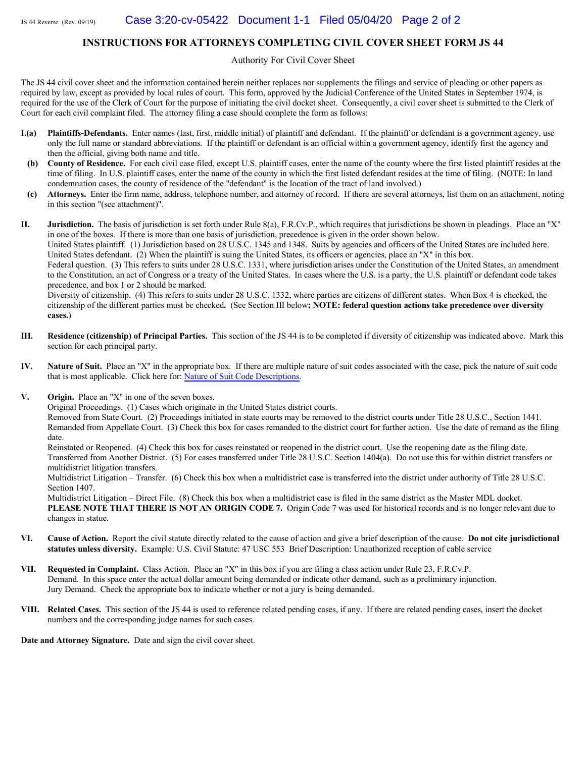### INSTRUCTIONS FOR ATTORNEYS COMPLETING CIVIL COVER SHEET FORM JS 44

Authority For Civil Cover Sheet

The JS 44 civil cover sheet and the information contained herein neither replaces nor supplements the filings and service of pleading or other papers as required by law, except as provided by local rules of court. This form, approved by the Judicial Conference of the United States in September 1974, is required for the use of the Clerk of Court for the purpose of initiating the civil docket sheet. Consequently, a civil cover sheet is submitted to the Clerk of Court for each civil complaint filed. The attorney filing a case should complete the form as follows:

- **I.(a)** Plaintiffs-Defendants. Enter names (last, first, middle initial) of plaintiff and defendant. If the plaintiff or defendant is a government agency, use only the full name or standard abbreviations. If the plaintiff or defendant is an official within a government agency, identify first the agency and then the official, giving both name and title.
- (b) County of Residence. For each civil case filed, except U.S. plaintiff cases, enter the name of the county where the first listed plaintiff resides at the time of filing. In U.S. plaintiff cases, enter the name of the county in which the first listed defendant resides at the time of filing. (NOTE: In land condemnation cases, the county of residence of the "defendant" is the location of the tract of land involved.)
- (c) Attorneys. Enter the firm name, address, telephone number, and attorney of record. If there are several attorneys, list them on an attachment, noting in this section "(see attachment)".

**II.** Jurisdiction. The basis of jurisdiction is set forth under Rule 8(a), F.R.Cv.P., which requires that jurisdictions be shown in pleadings. Place an "X" in one of the boxes. If there is more than one basis of jurisdiction, precedence is given in the order shown below.

United States plaintiff. (1) Jurisdiction based on 28 U.S.C. 1345 and 1348. Suits by agencies and officers of the United States are included here. United States defendant. (2) When the plaintiff is suing the United States, its officers or agencies, place an "X" in this box.

Federal question. (3) This refers to suits under 28 U.S.C. 1331, where jurisdiction arises under the Constitution of the United States, an amendment to the Constitution, an act of Congress or a treaty of the United States. In cases where the U.S. is a party, the U.S. plaintiff or defendant code takes precedence, and box 1 or 2 should be marked.

Diversity of citizenship. (4) This refers to suits under 28 U.S.C. 1332, where parties are citizens of different states. When Box 4 is checked, the citizenship of the different parties must be checked. (See Section III below; NOTE: federal question actions take precedence over diversity cases.)

- III. Residence (citizenship) of Principal Parties. This section of the JS 44 is to be completed if diversity of citizenship was indicated above. Mark this section for each principal party.
- IV. Nature of Suit. Place an "X" in the appropriate box. If there are multiple nature of suit codes associated with the case, pick the nature of suit code that is most applicable. Click here for: Nature of Suit Code Descriptions.
- V. Origin. Place an "X" in one of the seven boxes.

Original Proceedings. (1) Cases which originate in the United States district courts.

Removed from State Court. (2) Proceedings initiated in state courts may be removed to the district courts under Title 28 U.S.C., Section 1441. Remanded from Appellate Court. (3) Check this box for cases remanded to the district court for further action. Use the date of remand as the filing date.

Reinstated or Reopened. (4) Check this box for cases reinstated or reopened in the district court. Use the reopening date as the filing date. Transferred from Another District. (5) For cases transferred under Title 28 U.S.C. Section 1404(a). Do not use this for within district transfers or multidistrict litigation transfers.

Multidistrict Litigation – Transfer. (6) Check this box when a multidistrict case is transferred into the district under authority of Title 28 U.S.C. Section  $1407$ .

Multidistrict Litigation – Direct File. (8) Check this box when a multidistrict case is filed in the same district as the Master MDL docket. PLEASE NOTE THAT THERE IS NOT AN ORIGIN CODE 7. Origin Code 7 was used for historical records and is no longer relevant due to changes in statue.

- VI. Cause of Action. Report the civil statute directly related to the cause of action and give a brief description of the cause. Do not cite jurisdictional statutes unless diversity. Example: U.S. Civil Statute: 47 USC 553 Brief Description: Unauthorized reception of cable service
- VII. Requested in Complaint. Class Action. Place an "X" in this box if you are filing a class action under Rule 23, F.R.Cv.P. Demand. In this space enter the actual dollar amount being demanded or indicate other demand, such as a preliminary injunction. Jury Demand. Check the appropriate box to indicate whether or not a jury is being demanded.
- VIII. Related Cases. This section of the JS 44 is used to reference related pending cases, if any. If there are related pending cases, insert the docket numbers and the corresponding judge names for such cases.

Date and Attorney Signature. Date and sign the civil cover sheet.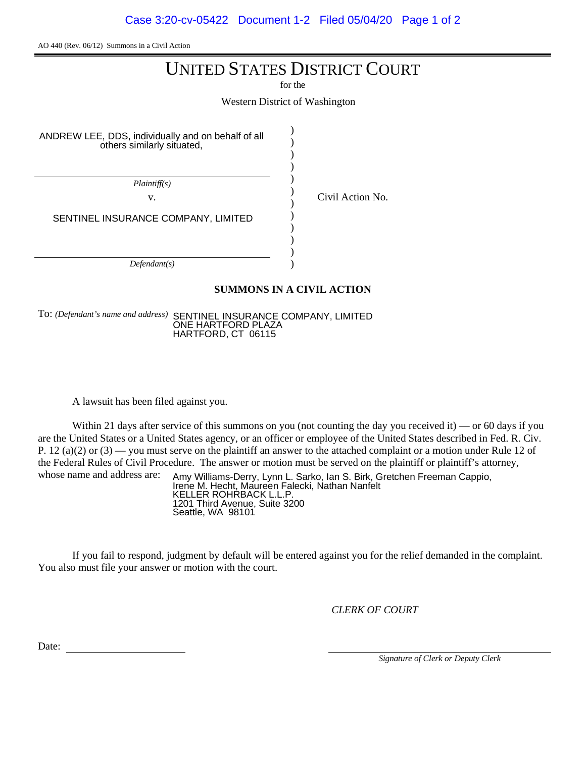Case 3:20-cv-05422 Document 1-2 Filed 05/04/20 Page 1 of 2

AO 440 (Rev. 06/12) Summons in a Civil Action

## UNITED STATES DISTRICT COURT

for the

Western District of Washington

) ) ) ) ) ) ) ) ) ) ) )

ANDREW LEE, DDS, individually and on behalf of all

*Plaintiff(s)* v. Civil Action No. others similarly situated, SENTINEL INSURANCE COMPANY, LIMITED

*Defendant(s)*

## **SUMMONS IN A CIVIL ACTION**

To: *(Defendant's name and address)* SENTINEL INSURANCE COMPANY, LIMITED ONE HARTFORD PLAZA HARTFORD, CT 06115

A lawsuit has been filed against you.

Within 21 days after service of this summons on you (not counting the day you received it) — or 60 days if you are the United States or a United States agency, or an officer or employee of the United States described in Fed. R. Civ. P. 12 (a)(2) or (3) — you must serve on the plaintiff an answer to the attached complaint or a motion under Rule 12 of the Federal Rules of Civil Procedure. The answer or motion must be served on the plaintiff or plaintiff's attorney, whose name and address are:

Amy Williams-Derry, Lynn L. Sarko, Ian S. Birk, Gretchen Freeman Cappio, Irene M. Hecht, Maureen Falecki, Nathan Nanfelt KELLER ROHRBACK L.L.P. 1201 Third Avenue, Suite 3200 Seattle, WA 98101

If you fail to respond, judgment by default will be entered against you for the relief demanded in the complaint. You also must file your answer or motion with the court.

*CLERK OF COURT*

Date:

*Signature of Clerk or Deputy Clerk*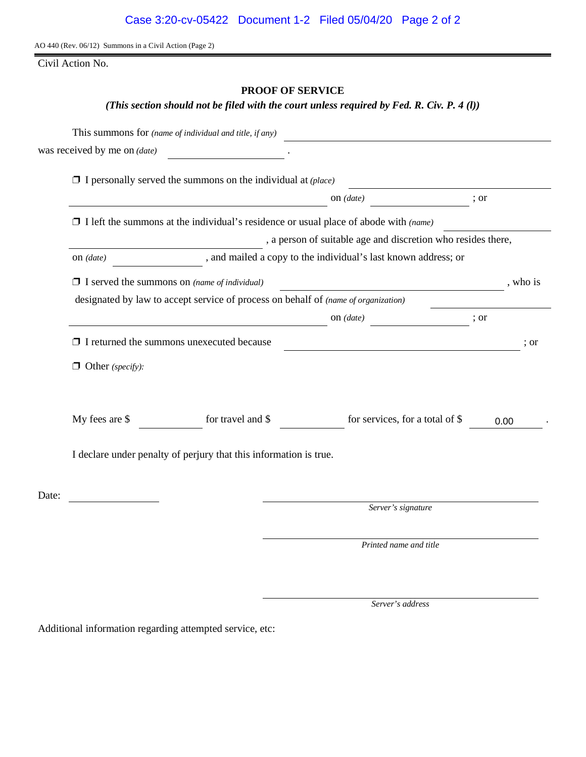AO 440 (Rev. 06/12) Summons in a Civil Action (Page 2)

Civil Action No.

## **PROOF OF SERVICE**

## *(This section should not be filed with the court unless required by Fed. R. Civ. P. 4 (l))*

| was received by me on (date)                                                       |                                                                                             |                                                              |          |  |  |
|------------------------------------------------------------------------------------|---------------------------------------------------------------------------------------------|--------------------------------------------------------------|----------|--|--|
|                                                                                    | $\Box$ I personally served the summons on the individual at (place)                         |                                                              |          |  |  |
|                                                                                    |                                                                                             | on $(data)$                                                  | ; or     |  |  |
|                                                                                    | $\Box$ I left the summons at the individual's residence or usual place of abode with (name) |                                                              |          |  |  |
|                                                                                    |                                                                                             | , a person of suitable age and discretion who resides there, |          |  |  |
| , and mailed a copy to the individual's last known address; or<br>on $(data)$      |                                                                                             |                                                              |          |  |  |
| $\Box$ I served the summons on (name of individual)                                |                                                                                             |                                                              | , who is |  |  |
| designated by law to accept service of process on behalf of (name of organization) |                                                                                             |                                                              |          |  |  |
|                                                                                    |                                                                                             | on (date)                                                    |          |  |  |
|                                                                                    | $\Box$ I returned the summons unexecuted because                                            |                                                              | ; or     |  |  |
| $\Box$ Other (specify):                                                            |                                                                                             |                                                              |          |  |  |
| My fees are \$                                                                     | for travel and $\$ for services, for a total of $\$$                                        |                                                              | 0.00     |  |  |
|                                                                                    | I declare under penalty of perjury that this information is true.                           |                                                              |          |  |  |
|                                                                                    |                                                                                             | Server's signature                                           |          |  |  |
|                                                                                    |                                                                                             | Printed name and title                                       |          |  |  |

*Server's address*

Additional information regarding attempted service, etc: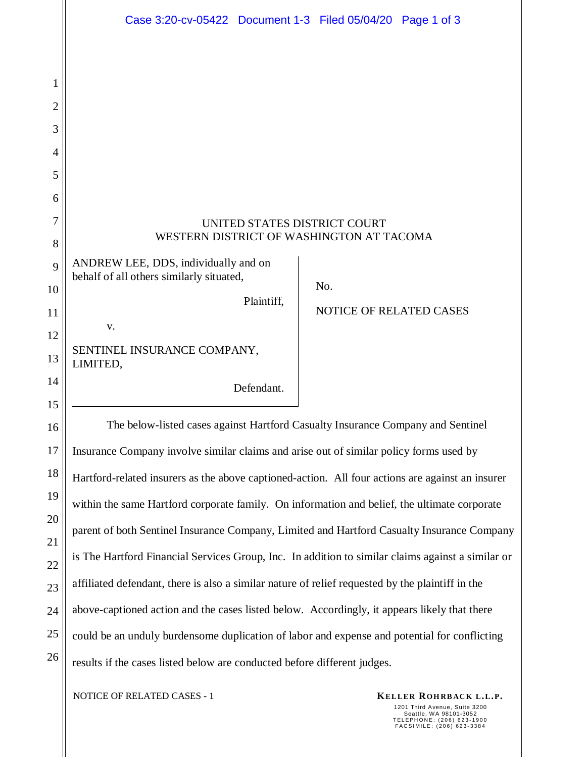|          | Case 3:20-cv-05422 Document 1-3 Filed 05/04/20 Page 1 of 3                                        |                                |  |  |
|----------|---------------------------------------------------------------------------------------------------|--------------------------------|--|--|
|          |                                                                                                   |                                |  |  |
| 1        |                                                                                                   |                                |  |  |
| 2        |                                                                                                   |                                |  |  |
| 3        |                                                                                                   |                                |  |  |
| 4        |                                                                                                   |                                |  |  |
| 5        |                                                                                                   |                                |  |  |
| 6        |                                                                                                   |                                |  |  |
| 7        | UNITED STATES DISTRICT COURT                                                                      |                                |  |  |
| 8        | WESTERN DISTRICT OF WASHINGTON AT TACOMA                                                          |                                |  |  |
| 9        | ANDREW LEE, DDS, individually and on<br>behalf of all others similarly situated,                  |                                |  |  |
| 10       | Plaintiff,                                                                                        | No.                            |  |  |
| 11       | V.                                                                                                | <b>NOTICE OF RELATED CASES</b> |  |  |
| 12       | SENTINEL INSURANCE COMPANY,                                                                       |                                |  |  |
| 13       | LIMITED,                                                                                          |                                |  |  |
| 14       | Defendant.                                                                                        |                                |  |  |
| 15       | The below-listed cases against Hartford Casualty Insurance Company and Sentinel                   |                                |  |  |
| 16       |                                                                                                   |                                |  |  |
| 17       | Insurance Company involve similar claims and arise out of similar policy forms used by            |                                |  |  |
| 18       | Hartford-related insurers as the above captioned-action. All four actions are against an insurer  |                                |  |  |
| 19<br>20 | within the same Hartford corporate family. On information and belief, the ultimate corporate      |                                |  |  |
| 21       | parent of both Sentinel Insurance Company, Limited and Hartford Casualty Insurance Company        |                                |  |  |
| 22       | is The Hartford Financial Services Group, Inc. In addition to similar claims against a similar or |                                |  |  |
| 23       | affiliated defendant, there is also a similar nature of relief requested by the plaintiff in the  |                                |  |  |
| 24       | above-captioned action and the cases listed below. Accordingly, it appears likely that there      |                                |  |  |
| 25       | could be an unduly burdensome duplication of labor and expense and potential for conflicting      |                                |  |  |
| 26       | results if the cases listed below are conducted before different judges.                          |                                |  |  |

**KELLER ROHRBACK L.L.P. KELLER ROHRBACK L.L.P.** 

1201 Third Avenue, Suite 3200 Seattle, WA 98101-3052 T E L E P H O N E : ( 2 0 6 ) 6 2 3 - 1 9 0 0 F A C S I M I L E : ( 2 0 6 ) 6 2 3 - 3 3 8 4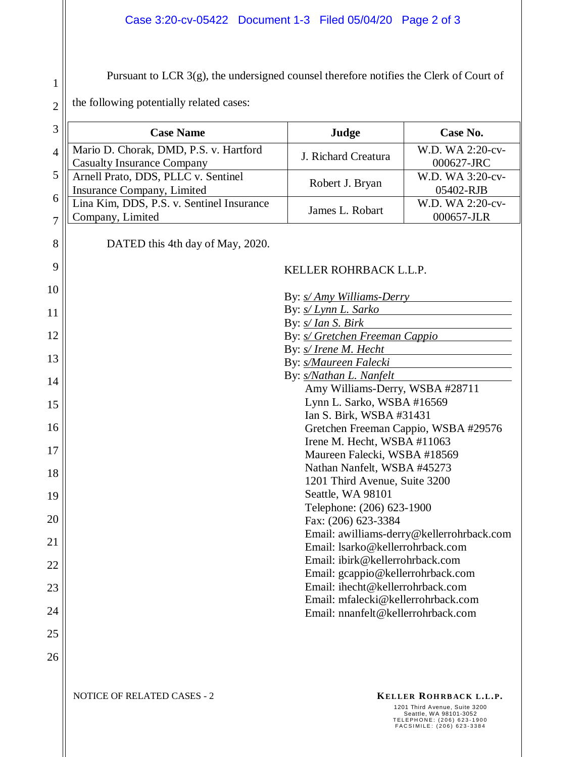Pursuant to LCR 3(g), the undersigned counsel therefore notifies the Clerk of Court of

the following potentially related cases:

1

2

| 3              | <b>Case Name</b>                                                            | Judge                                 | Case No.                                                                                                                                    |
|----------------|-----------------------------------------------------------------------------|---------------------------------------|---------------------------------------------------------------------------------------------------------------------------------------------|
| $\overline{4}$ | Mario D. Chorak, DMD, P.S. v. Hartford<br><b>Casualty Insurance Company</b> | J. Richard Creatura                   | W.D. WA 2:20-cv-<br>000627-JRC                                                                                                              |
| 5              | Arnell Prato, DDS, PLLC v. Sentinel                                         | Robert J. Bryan                       | W.D. WA 3:20-cv-                                                                                                                            |
| 6              | Insurance Company, Limited<br>Lina Kim, DDS, P.S. v. Sentinel Insurance     | James L. Robart                       | 05402-RJB<br>W.D. WA 2:20-cv-                                                                                                               |
| 7              | Company, Limited                                                            |                                       | 000657-JLR                                                                                                                                  |
| 8              | DATED this 4th day of May, 2020.                                            |                                       |                                                                                                                                             |
| 9              |                                                                             | KELLER ROHRBACK L.L.P.                |                                                                                                                                             |
| 10             |                                                                             | By: <i>s/Amy Williams-Derry</i>       |                                                                                                                                             |
| 11             |                                                                             | By: s/ Lynn L. Sarko                  |                                                                                                                                             |
|                |                                                                             | By: <i>s/ Ian S. Birk</i>             |                                                                                                                                             |
| 12             |                                                                             | By: <i>s/ Gretchen Freeman Cappio</i> |                                                                                                                                             |
| 13             |                                                                             | By: s/ Irene M. Hecht                 |                                                                                                                                             |
|                |                                                                             | By: s/Maureen Falecki                 |                                                                                                                                             |
| 14             |                                                                             | By: s/Nathan L. Nanfelt               |                                                                                                                                             |
|                |                                                                             | Amy Williams-Derry, WSBA #28711       |                                                                                                                                             |
| 15             | Lynn L. Sarko, WSBA #16569                                                  |                                       |                                                                                                                                             |
| 16             | Ian S. Birk, WSBA #31431<br>Gretchen Freeman Cappio, WSBA #29576            |                                       |                                                                                                                                             |
|                | Irene M. Hecht, WSBA #11063                                                 |                                       |                                                                                                                                             |
| 17             | Maureen Falecki, WSBA #18569                                                |                                       |                                                                                                                                             |
| 18             | Nathan Nanfelt, WSBA #45273                                                 |                                       |                                                                                                                                             |
|                |                                                                             | 1201 Third Avenue, Suite 3200         |                                                                                                                                             |
| 19             |                                                                             | Seattle, WA 98101                     |                                                                                                                                             |
| 20             |                                                                             | Telephone: (206) 623-1900             |                                                                                                                                             |
|                |                                                                             | Fax: (206) 623-3384                   |                                                                                                                                             |
| 21             |                                                                             | Email: lsarko@kellerrohrback.com      | Email: awilliams-derry@kellerrohrback.com                                                                                                   |
|                |                                                                             | Email: ibirk@kellerrohrback.com       |                                                                                                                                             |
| 22             |                                                                             | Email: gcappio@kellerrohrback.com     |                                                                                                                                             |
| 23             |                                                                             | Email: ihecht@kellerrohrback.com      |                                                                                                                                             |
|                |                                                                             | Email: mfalecki@kellerrohrback.com    |                                                                                                                                             |
| 24             |                                                                             | Email: nnanfelt@kellerrohrback.com    |                                                                                                                                             |
| 25             |                                                                             |                                       |                                                                                                                                             |
| 26             |                                                                             |                                       |                                                                                                                                             |
|                |                                                                             |                                       |                                                                                                                                             |
|                | <b>NOTICE OF RELATED CASES - 2</b>                                          |                                       | KELLER ROHRBACK L.L.P.<br>1201 Third Avenue, Suite 3200<br>Seattle, WA 98101-3052<br>TELEPHONE: (206) 623-1900<br>FACSIMILE: (206) 623-3384 |